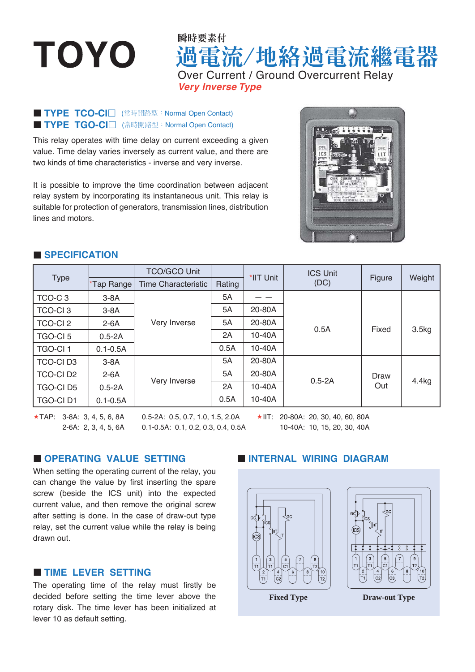# **TOYO**

## 過電流/地絡過電流繼電器 瞬時要素付 Over Current / Ground Overcurrent Relay *Very Inverse Type*

#### **TYPE TCO-CI I** (常時開路型: Normal Open Contact) **TYPE TGO-CI I** (常時開路型: Normal Open Contact)

This relay operates with time delay on current exceeding a given value. Time delay varies inversely as current value, and there are two kinds of time characteristics - inverse and very inverse.

It is possible to improve the time coordination between adjacent relay system by incorporating its instantaneous unit. This relay is suitable for protection of generators, transmission lines, distribution lines and motors.



#### **SPECIFICATION**

| <b>Type</b>         |              | <b>TCO/GCO Unit</b> |        | *IIT Unit | <b>ICS Unit</b><br>(DC) | Figure      | Weight |
|---------------------|--------------|---------------------|--------|-----------|-------------------------|-------------|--------|
|                     | *Tap Range   | Time Characteristic | Rating |           |                         |             |        |
| TCO-C <sub>3</sub>  | $3-8A$       | Very Inverse        | 5A     |           | 0.5A                    |             |        |
| <b>TCO-CI3</b>      | $3-8A$       |                     | 5A     | 20-80A    |                         | Fixed       | 3.5kg  |
| <b>TCO-CI2</b>      | $2-6A$       |                     | 5A     | 20-80A    |                         |             |        |
| TGO-CI <sub>5</sub> | $0.5 - 2A$   |                     | 2A     | 10-40A    |                         |             |        |
| <b>TGO-CI1</b>      | $0.1 - 0.5A$ |                     | 0.5A   | $10-40A$  |                         |             |        |
| <b>TCO-CID3</b>     | $3-8A$       | Very Inverse        | 5A     | 20-80A    | $0.5 - 2A$              | Draw<br>Out | 4.4kg  |
| <b>TCO-CID2</b>     | $2-6A$       |                     | 5A     | 20-80A    |                         |             |        |
| <b>TGO-CID5</b>     | $0.5 - 2A$   |                     | 2A     | 10-40A    |                         |             |        |
| <b>TGO-CID1</b>     | $0.1 - 0.5A$ |                     | 0.5A   | 10-40A    |                         |             |        |

 $\star$ TAP: 3-8A: 3, 4, 5, 6, 8A 2-6A: 2, 3, 4, 5, 6A

0.5-2A: 0.5, 0.7, 1.0, 1.5, 2.0A 0.1-0.5A: 0.1, 0.2, 0.3, 0.4, 0.5A  $\star$ IIT: 20-80A: 20, 30, 40, 60, 80A

10-40A: 10, 15, 20, 30, 40A

#### **OPERATING VALUE SETTING**

When setting the operating current of the relay, you can change the value by first inserting the spare screw (beside the ICS unit) into the expected current value, and then remove the original screw after setting is done. In the case of draw-out type relay, set the current value while the relay is being drawn out.

#### **TIME LEVER SETTING**

The operating time of the relay must firstly be decided before setting the time lever above the rotary disk. The time lever has been initialized at lever 10 as default setting.

#### **INTERNAL WIRING DIAGRAM**





**Fixed Type Draw-out Type**